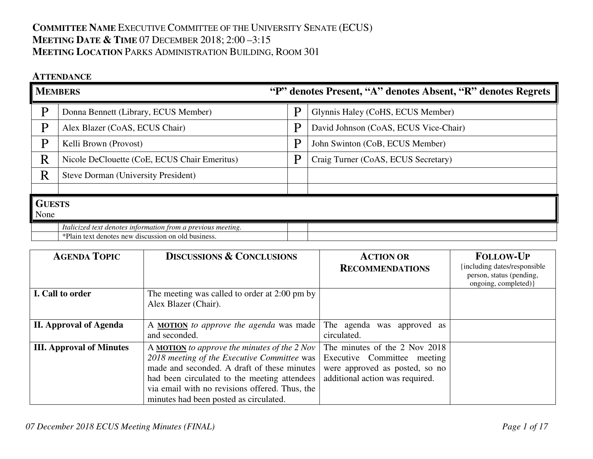# **COMMITTEE NAME** EXECUTIVE COMMITTEE OF THE UNIVERSITY SENATE (ECUS) **MEETING DATE & <sup>T</sup>IME** <sup>07</sup> <sup>D</sup>ECEMBER 2018; 2:00 –3:15 **MEETING LOCATION** PARKS ADMINISTRATION BUILDING, ROOM 301

## **ATTENDANCE**

| <b>MEMBERS</b> |                                                                                                                     | "P" denotes Present, "A" denotes Absent, "R" denotes Regrets |                                       |
|----------------|---------------------------------------------------------------------------------------------------------------------|--------------------------------------------------------------|---------------------------------------|
| P              | Donna Bennett (Library, ECUS Member)                                                                                | D                                                            | Glynnis Haley (CoHS, ECUS Member)     |
| P              | Alex Blazer (CoAS, ECUS Chair)                                                                                      | P                                                            | David Johnson (CoAS, ECUS Vice-Chair) |
| P              | Kelli Brown (Provost)                                                                                               | D                                                            | John Swinton (CoB, ECUS Member)       |
| R              | Nicole DeClouette (CoE, ECUS Chair Emeritus)                                                                        | D                                                            | Craig Turner (CoAS, ECUS Secretary)   |
| $\rm R$        | <b>Steve Dorman (University President)</b>                                                                          |                                                              |                                       |
|                |                                                                                                                     |                                                              |                                       |
| None           | <b>GUESTS</b>                                                                                                       |                                                              |                                       |
|                | Italicized text denotes information from a previous meeting.<br>*Plain text denotes new discussion on old business. |                                                              |                                       |

| <b>AGENDA TOPIC</b>             | <b>DISCUSSIONS &amp; CONCLUSIONS</b>                                                                                                                                                                                                                                                            | <b>ACTION OR</b><br><b>RECOMMENDATIONS</b>                                                                                        | <b>FOLLOW-UP</b><br>including dates/responsible<br>person, status (pending,<br>ongoing, completed) } |
|---------------------------------|-------------------------------------------------------------------------------------------------------------------------------------------------------------------------------------------------------------------------------------------------------------------------------------------------|-----------------------------------------------------------------------------------------------------------------------------------|------------------------------------------------------------------------------------------------------|
| I. Call to order                | The meeting was called to order at 2:00 pm by<br>Alex Blazer (Chair).                                                                                                                                                                                                                           |                                                                                                                                   |                                                                                                      |
| <b>II. Approval of Agenda</b>   | A MOTION to approve the agenda was made<br>and seconded.                                                                                                                                                                                                                                        | The agenda was<br>approved as<br>circulated.                                                                                      |                                                                                                      |
| <b>III. Approval of Minutes</b> | A <b>MOTION</b> to approve the minutes of the $2$ Nov<br>2018 meeting of the Executive Committee was<br>made and seconded. A draft of these minutes<br>had been circulated to the meeting attendees<br>via email with no revisions offered. Thus, the<br>minutes had been posted as circulated. | The minutes of the 2 Nov 2018<br>Executive Committee meeting<br>were approved as posted, so no<br>additional action was required. |                                                                                                      |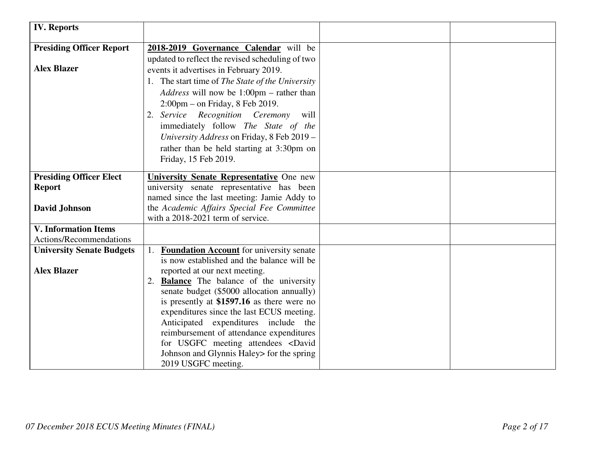| <b>IV. Reports</b>               |                                                                                   |  |
|----------------------------------|-----------------------------------------------------------------------------------|--|
| <b>Presiding Officer Report</b>  | 2018-2019 Governance Calendar will be                                             |  |
|                                  | updated to reflect the revised scheduling of two                                  |  |
| <b>Alex Blazer</b>               | events it advertises in February 2019.                                            |  |
|                                  | 1. The start time of The State of the University                                  |  |
|                                  | Address will now be 1:00pm - rather than                                          |  |
|                                  | $2:00 \text{pm}$ – on Friday, 8 Feb 2019.                                         |  |
|                                  | 2. Service Recognition Ceremony<br>will                                           |  |
|                                  | immediately follow The State of the                                               |  |
|                                  | University Address on Friday, 8 Feb 2019 -                                        |  |
|                                  | rather than be held starting at 3:30pm on                                         |  |
|                                  | Friday, 15 Feb 2019.                                                              |  |
| <b>Presiding Officer Elect</b>   | University Senate Representative One new                                          |  |
| <b>Report</b>                    | university senate representative has been                                         |  |
|                                  | named since the last meeting: Jamie Addy to                                       |  |
| <b>David Johnson</b>             | the Academic Affairs Special Fee Committee                                        |  |
|                                  | with a 2018-2021 term of service.                                                 |  |
| <b>V. Information Items</b>      |                                                                                   |  |
| Actions/Recommendations          |                                                                                   |  |
| <b>University Senate Budgets</b> | <b>Foundation Account</b> for university senate                                   |  |
|                                  | is now established and the balance will be                                        |  |
| <b>Alex Blazer</b>               | reported at our next meeting.                                                     |  |
|                                  | 2. <b>Balance</b> The balance of the university                                   |  |
|                                  | senate budget (\$5000 allocation annually)                                        |  |
|                                  | is presently at $$1597.16$ as there were no                                       |  |
|                                  | expenditures since the last ECUS meeting.<br>Anticipated expenditures include the |  |
|                                  | reimbursement of attendance expenditures                                          |  |
|                                  | for USGFC meeting attendees <david< th=""><th></th></david<>                      |  |
|                                  | Johnson and Glynnis Haley for the spring                                          |  |
|                                  | 2019 USGFC meeting.                                                               |  |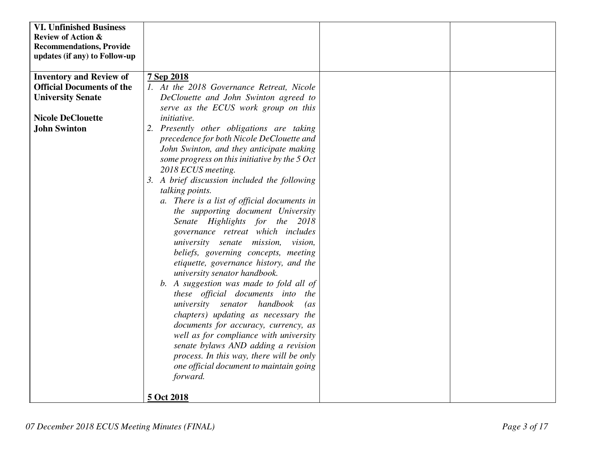| <b>VI. Unfinished Business</b>   |                                                |  |
|----------------------------------|------------------------------------------------|--|
| <b>Review of Action &amp;</b>    |                                                |  |
| <b>Recommendations, Provide</b>  |                                                |  |
| updates (if any) to Follow-up    |                                                |  |
|                                  |                                                |  |
| <b>Inventory and Review of</b>   | 7 Sep 2018                                     |  |
| <b>Official Documents of the</b> | 1. At the 2018 Governance Retreat, Nicole      |  |
| <b>University Senate</b>         | DeClouette and John Swinton agreed to          |  |
|                                  | serve as the ECUS work group on this           |  |
| <b>Nicole DeClouette</b>         | <i>initiative.</i>                             |  |
| <b>John Swinton</b>              | 2. Presently other obligations are taking      |  |
|                                  | precedence for both Nicole DeClouette and      |  |
|                                  | John Swinton, and they anticipate making       |  |
|                                  | some progress on this initiative by the 5 Oct  |  |
|                                  | 2018 ECUS meeting.                             |  |
|                                  | 3. A brief discussion included the following   |  |
|                                  | talking points.                                |  |
|                                  | a. There is a list of official documents in    |  |
|                                  | the supporting document University             |  |
|                                  | Senate Highlights for the 2018                 |  |
|                                  | governance retreat which includes              |  |
|                                  | university senate mission,<br>vision,          |  |
|                                  | beliefs, governing concepts, meeting           |  |
|                                  | etiquette, governance history, and the         |  |
|                                  | university senator handbook.                   |  |
|                                  | b. A suggestion was made to fold all of        |  |
|                                  | these official documents into the              |  |
|                                  | university senator handbook<br>$\overline{as}$ |  |
|                                  | chapters) updating as necessary the            |  |
|                                  | documents for accuracy, currency, as           |  |
|                                  | well as for compliance with university         |  |
|                                  | senate bylaws AND adding a revision            |  |
|                                  | process. In this way, there will be only       |  |
|                                  | one official document to maintain going        |  |
|                                  | forward.                                       |  |
|                                  |                                                |  |
|                                  |                                                |  |
|                                  | 5 Oct 2018                                     |  |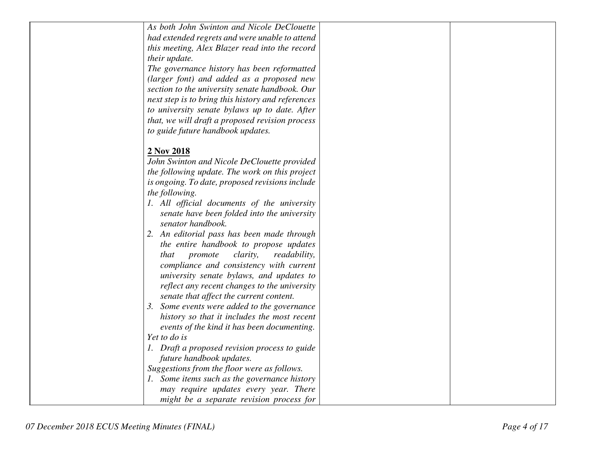| As both John Swinton and Nicole DeClouette         |  |
|----------------------------------------------------|--|
| had extended regrets and were unable to attend     |  |
| this meeting, Alex Blazer read into the record     |  |
| their update.                                      |  |
| The governance history has been reformatted        |  |
| (larger font) and added as a proposed new          |  |
| section to the university senate handbook. Our     |  |
| next step is to bring this history and references  |  |
| to university senate bylaws up to date. After      |  |
| that, we will draft a proposed revision process    |  |
| to guide future handbook updates.                  |  |
|                                                    |  |
| 2 Nov 2018                                         |  |
| John Swinton and Nicole DeClouette provided        |  |
| the following update. The work on this project     |  |
| is ongoing. To date, proposed revisions include    |  |
| the following.                                     |  |
| 1. All official documents of the university        |  |
| senate have been folded into the university        |  |
| senator handbook.                                  |  |
| 2. An editorial pass has been made through         |  |
| the entire handbook to propose updates             |  |
| promote<br><i>clarity,</i><br>readability,<br>that |  |
| compliance and consistency with current            |  |
| university senate bylaws, and updates to           |  |
| reflect any recent changes to the university       |  |
| senate that affect the current content.            |  |
| 3. Some events were added to the governance        |  |
| history so that it includes the most recent        |  |
| events of the kind it has been documenting.        |  |
| Yet to do is                                       |  |
| 1. Draft a proposed revision process to guide      |  |
| future handbook updates.                           |  |
| Suggestions from the floor were as follows.        |  |
| 1. Some items such as the governance history       |  |
| may require updates every year. There              |  |
| might be a separate revision process for           |  |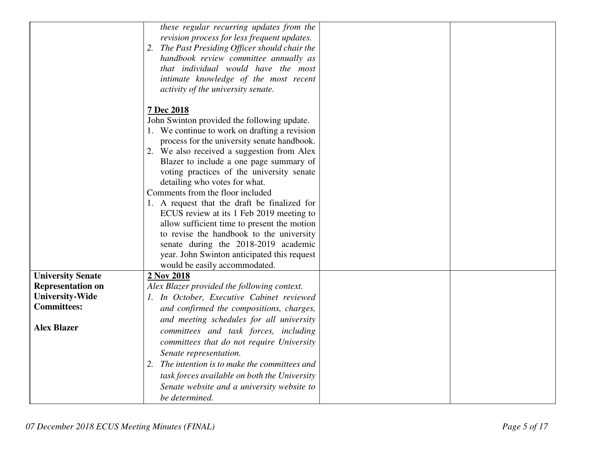|                          | these regular recurring updates from the          |
|--------------------------|---------------------------------------------------|
|                          | revision process for less frequent updates.       |
|                          | 2.                                                |
|                          | The Past Presiding Officer should chair the       |
|                          | handbook review committee annually as             |
|                          | that individual would have the most               |
|                          | intimate knowledge of the most recent             |
|                          | activity of the university senate.                |
|                          |                                                   |
|                          | 7 Dec 2018                                        |
|                          | John Swinton provided the following update.       |
|                          | 1. We continue to work on drafting a revision     |
|                          | process for the university senate handbook.       |
|                          | 2. We also received a suggestion from Alex        |
|                          | Blazer to include a one page summary of           |
|                          | voting practices of the university senate         |
|                          | detailing who votes for what.                     |
|                          | Comments from the floor included                  |
|                          | 1. A request that the draft be finalized for      |
|                          | ECUS review at its 1 Feb 2019 meeting to          |
|                          | allow sufficient time to present the motion       |
|                          | to revise the handbook to the university          |
|                          | senate during the 2018-2019 academic              |
|                          | year. John Swinton anticipated this request       |
|                          | would be easily accommodated.                     |
| <b>University Senate</b> | 2 Nov 2018                                        |
| <b>Representation on</b> | Alex Blazer provided the following context.       |
| <b>University-Wide</b>   | 1. In October, Executive Cabinet reviewed         |
| <b>Committees:</b>       | and confirmed the compositions, charges,          |
|                          | and meeting schedules for all university          |
| <b>Alex Blazer</b>       |                                                   |
|                          | committees and task forces, including             |
|                          | committees that do not require University         |
|                          | Senate representation.                            |
|                          | The intention is to make the committees and<br>2. |
|                          | task forces available on both the University      |
|                          | Senate website and a university website to        |
|                          | be determined.                                    |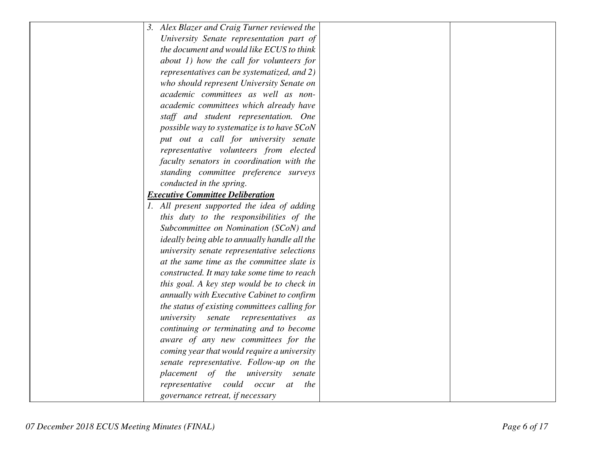| 3. Alex Blazer and Craig Turner reviewed the  |  |
|-----------------------------------------------|--|
| University Senate representation part of      |  |
| the document and would like ECUS to think     |  |
| about 1) how the call for volunteers for      |  |
| representatives can be systematized, and 2)   |  |
| who should represent University Senate on     |  |
| academic committees as well as non-           |  |
| academic committees which already have        |  |
| staff and student representation. One         |  |
| possible way to systematize is to have SCoN   |  |
| put out a call for university senate          |  |
| representative volunteers from elected        |  |
| faculty senators in coordination with the     |  |
| standing committee preference surveys         |  |
| conducted in the spring.                      |  |
| <b>Executive Committee Deliberation</b>       |  |
| 1. All present supported the idea of adding   |  |
| this duty to the responsibilities of the      |  |
| Subcommittee on Nomination (SCoN) and         |  |
| ideally being able to annually handle all the |  |
| university senate representative selections   |  |
| at the same time as the committee slate is    |  |
| constructed. It may take some time to reach   |  |
| this goal. A key step would be to check in    |  |
| annually with Executive Cabinet to confirm    |  |
| the status of existing committees calling for |  |
| university<br>senate<br>representatives<br>as |  |
| continuing or terminating and to become       |  |
| aware of any new committees for the           |  |
| coming year that would require a university   |  |
| senate representative. Follow-up on the       |  |
| placement of the university senate            |  |
| representative could occur<br>the<br>at       |  |
| governance retreat, if necessary              |  |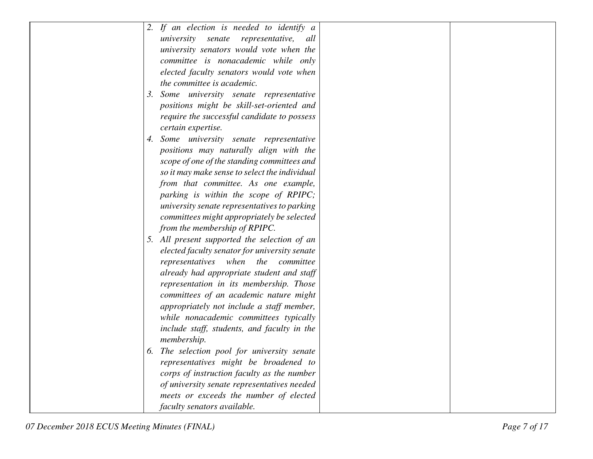| 2. If an election is needed to identify a     |
|-----------------------------------------------|
| university senate<br>representative,<br>all   |
| university senators would vote when the       |
| committee is nonacademic while only           |
| elected faculty senators would vote when      |
| the committee is academic.                    |
| Some university senate representative<br>3.   |
| positions might be skill-set-oriented and     |
| require the successful candidate to possess   |
| certain expertise.                            |
| Some university senate representative<br>4.   |
| positions may naturally align with the        |
| scope of one of the standing committees and   |
| so it may make sense to select the individual |
| from that committee. As one example,          |
| parking is within the scope of RPIPC;         |
| university senate representatives to parking  |
| committees might appropriately be selected    |
| from the membership of RPIPC.                 |
| 5. All present supported the selection of an  |
| elected faculty senator for university senate |
| representatives when the<br>committee         |
| already had appropriate student and staff     |
| representation in its membership. Those       |
| committees of an academic nature might        |
| appropriately not include a staff member,     |
| while nonacademic committees typically        |
| include staff, students, and faculty in the   |
| membership.                                   |
| 6. The selection pool for university senate   |
| representatives might be broadened to         |
| corps of instruction faculty as the number    |
| of university senate representatives needed   |
| meets or exceeds the number of elected        |
| faculty senators available.                   |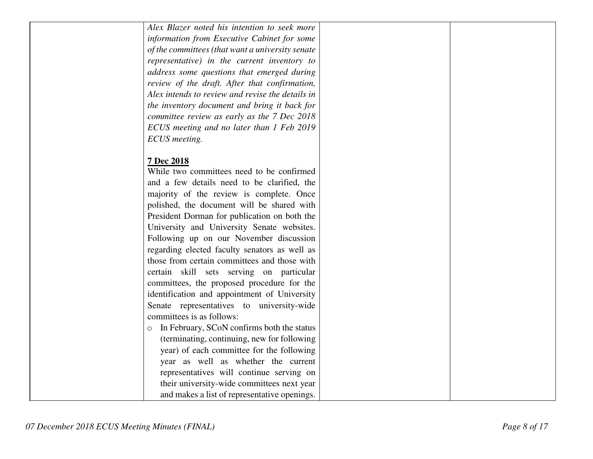## **7 Dec 2018**

| While two committees need to be confirmed             |
|-------------------------------------------------------|
| and a few details need to be clarified, the           |
| majority of the review is complete. Once              |
| polished, the document will be shared with            |
| President Dorman for publication on both the          |
| University and University Senate websites.            |
| Following up on our November discussion               |
| regarding elected faculty senators as well as         |
| those from certain committees and those with          |
| certain skill sets serving on particular              |
| committees, the proposed procedure for the            |
| identification and appointment of University          |
| Senate representatives to university-wide             |
| committees is as follows:                             |
| In February, SCoN confirms both the status<br>$\circ$ |
| (terminating, continuing, new for following           |
| year) of each committee for the following             |
| year as well as whether the current                   |
| representatives will continue serving on              |
| their university-wide committees next year            |
| and makes a list of representative openings.          |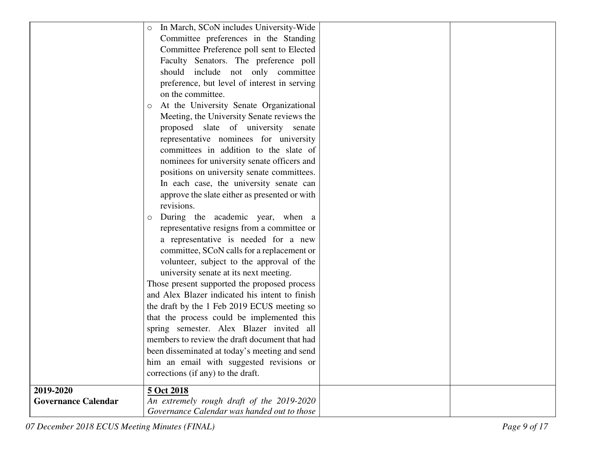|                            | In March, SCoN includes University-Wide        |
|----------------------------|------------------------------------------------|
|                            | Committee preferences in the Standing          |
|                            | Committee Preference poll sent to Elected      |
|                            | Faculty Senators. The preference poll          |
|                            | should include not only committee              |
|                            | preference, but level of interest in serving   |
|                            | on the committee.                              |
|                            | At the University Senate Organizational<br>O   |
|                            | Meeting, the University Senate reviews the     |
|                            | proposed slate of university senate            |
|                            | representative nominees for university         |
|                            | committees in addition to the slate of         |
|                            | nominees for university senate officers and    |
|                            | positions on university senate committees.     |
|                            | In each case, the university senate can        |
|                            | approve the slate either as presented or with  |
|                            | revisions.                                     |
|                            | During the academic year, when a<br>O          |
|                            | representative resigns from a committee or     |
|                            | a representative is needed for a new           |
|                            | committee, SCoN calls for a replacement or     |
|                            | volunteer, subject to the approval of the      |
|                            | university senate at its next meeting.         |
|                            | Those present supported the proposed process   |
|                            | and Alex Blazer indicated his intent to finish |
|                            | the draft by the 1 Feb 2019 ECUS meeting so    |
|                            | that the process could be implemented this     |
|                            | spring semester. Alex Blazer invited all       |
|                            | members to review the draft document that had  |
|                            | been disseminated at today's meeting and send  |
|                            | him an email with suggested revisions or       |
|                            | corrections (if any) to the draft.             |
| 2019-2020                  | 5 Oct 2018                                     |
| <b>Governance Calendar</b> | An extremely rough draft of the 2019-2020      |
|                            | Governance Calendar was handed out to those    |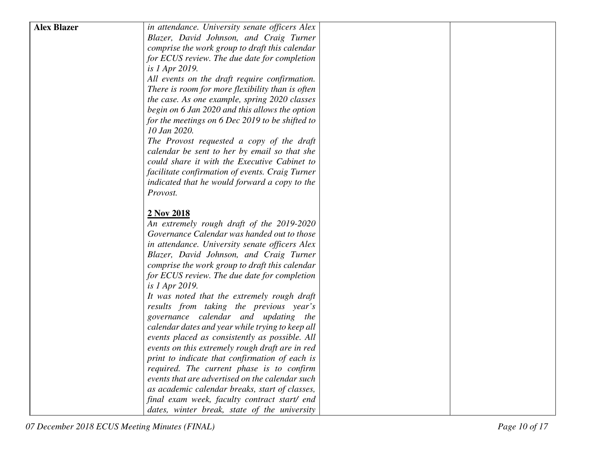| <b>Alex Blazer</b><br>in attendance. University senate officers Alex<br>Blazer, David Johnson, and Craig Turner<br>comprise the work group to draft this calendar<br>for ECUS review. The due date for completion<br>is 1 Apr 2019.<br>All events on the draft require confirmation.<br>There is room for more flexibility than is often<br>the case. As one example, spring 2020 classes<br>begin on 6 Jan 2020 and this allows the option<br>for the meetings on 6 Dec 2019 to be shifted to<br>10 Jan 2020.<br>The Provost requested a copy of the draft<br>calendar be sent to her by email so that she<br>could share it with the Executive Cabinet to<br>facilitate confirmation of events. Craig Turner<br>indicated that he would forward a copy to the<br>Provost.<br>2 Nov 2018<br>An extremely rough draft of the 2019-2020<br>Governance Calendar was handed out to those<br>in attendance. University senate officers Alex<br>Blazer, David Johnson, and Craig Turner<br>comprise the work group to draft this calendar<br>for ECUS review. The due date for completion<br>is 1 Apr 2019.<br>It was noted that the extremely rough draft<br>results from taking the previous year's<br>governance calendar and updating the<br>calendar dates and year while trying to keep all<br>events placed as consistently as possible. All<br>events on this extremely rough draft are in red<br>print to indicate that confirmation of each is<br>required. The current phase is to confirm<br>events that are advertised on the calendar such<br>as academic calendar breaks, start of classes,<br>final exam week, faculty contract start/ end |  |  |
|-------------------------------------------------------------------------------------------------------------------------------------------------------------------------------------------------------------------------------------------------------------------------------------------------------------------------------------------------------------------------------------------------------------------------------------------------------------------------------------------------------------------------------------------------------------------------------------------------------------------------------------------------------------------------------------------------------------------------------------------------------------------------------------------------------------------------------------------------------------------------------------------------------------------------------------------------------------------------------------------------------------------------------------------------------------------------------------------------------------------------------------------------------------------------------------------------------------------------------------------------------------------------------------------------------------------------------------------------------------------------------------------------------------------------------------------------------------------------------------------------------------------------------------------------------------------------------------------------------------------------------------------------------|--|--|
|                                                                                                                                                                                                                                                                                                                                                                                                                                                                                                                                                                                                                                                                                                                                                                                                                                                                                                                                                                                                                                                                                                                                                                                                                                                                                                                                                                                                                                                                                                                                                                                                                                                       |  |  |
|                                                                                                                                                                                                                                                                                                                                                                                                                                                                                                                                                                                                                                                                                                                                                                                                                                                                                                                                                                                                                                                                                                                                                                                                                                                                                                                                                                                                                                                                                                                                                                                                                                                       |  |  |
|                                                                                                                                                                                                                                                                                                                                                                                                                                                                                                                                                                                                                                                                                                                                                                                                                                                                                                                                                                                                                                                                                                                                                                                                                                                                                                                                                                                                                                                                                                                                                                                                                                                       |  |  |
|                                                                                                                                                                                                                                                                                                                                                                                                                                                                                                                                                                                                                                                                                                                                                                                                                                                                                                                                                                                                                                                                                                                                                                                                                                                                                                                                                                                                                                                                                                                                                                                                                                                       |  |  |
|                                                                                                                                                                                                                                                                                                                                                                                                                                                                                                                                                                                                                                                                                                                                                                                                                                                                                                                                                                                                                                                                                                                                                                                                                                                                                                                                                                                                                                                                                                                                                                                                                                                       |  |  |
|                                                                                                                                                                                                                                                                                                                                                                                                                                                                                                                                                                                                                                                                                                                                                                                                                                                                                                                                                                                                                                                                                                                                                                                                                                                                                                                                                                                                                                                                                                                                                                                                                                                       |  |  |
|                                                                                                                                                                                                                                                                                                                                                                                                                                                                                                                                                                                                                                                                                                                                                                                                                                                                                                                                                                                                                                                                                                                                                                                                                                                                                                                                                                                                                                                                                                                                                                                                                                                       |  |  |
|                                                                                                                                                                                                                                                                                                                                                                                                                                                                                                                                                                                                                                                                                                                                                                                                                                                                                                                                                                                                                                                                                                                                                                                                                                                                                                                                                                                                                                                                                                                                                                                                                                                       |  |  |
|                                                                                                                                                                                                                                                                                                                                                                                                                                                                                                                                                                                                                                                                                                                                                                                                                                                                                                                                                                                                                                                                                                                                                                                                                                                                                                                                                                                                                                                                                                                                                                                                                                                       |  |  |
|                                                                                                                                                                                                                                                                                                                                                                                                                                                                                                                                                                                                                                                                                                                                                                                                                                                                                                                                                                                                                                                                                                                                                                                                                                                                                                                                                                                                                                                                                                                                                                                                                                                       |  |  |
|                                                                                                                                                                                                                                                                                                                                                                                                                                                                                                                                                                                                                                                                                                                                                                                                                                                                                                                                                                                                                                                                                                                                                                                                                                                                                                                                                                                                                                                                                                                                                                                                                                                       |  |  |
|                                                                                                                                                                                                                                                                                                                                                                                                                                                                                                                                                                                                                                                                                                                                                                                                                                                                                                                                                                                                                                                                                                                                                                                                                                                                                                                                                                                                                                                                                                                                                                                                                                                       |  |  |
|                                                                                                                                                                                                                                                                                                                                                                                                                                                                                                                                                                                                                                                                                                                                                                                                                                                                                                                                                                                                                                                                                                                                                                                                                                                                                                                                                                                                                                                                                                                                                                                                                                                       |  |  |
|                                                                                                                                                                                                                                                                                                                                                                                                                                                                                                                                                                                                                                                                                                                                                                                                                                                                                                                                                                                                                                                                                                                                                                                                                                                                                                                                                                                                                                                                                                                                                                                                                                                       |  |  |
|                                                                                                                                                                                                                                                                                                                                                                                                                                                                                                                                                                                                                                                                                                                                                                                                                                                                                                                                                                                                                                                                                                                                                                                                                                                                                                                                                                                                                                                                                                                                                                                                                                                       |  |  |
|                                                                                                                                                                                                                                                                                                                                                                                                                                                                                                                                                                                                                                                                                                                                                                                                                                                                                                                                                                                                                                                                                                                                                                                                                                                                                                                                                                                                                                                                                                                                                                                                                                                       |  |  |
|                                                                                                                                                                                                                                                                                                                                                                                                                                                                                                                                                                                                                                                                                                                                                                                                                                                                                                                                                                                                                                                                                                                                                                                                                                                                                                                                                                                                                                                                                                                                                                                                                                                       |  |  |
|                                                                                                                                                                                                                                                                                                                                                                                                                                                                                                                                                                                                                                                                                                                                                                                                                                                                                                                                                                                                                                                                                                                                                                                                                                                                                                                                                                                                                                                                                                                                                                                                                                                       |  |  |
|                                                                                                                                                                                                                                                                                                                                                                                                                                                                                                                                                                                                                                                                                                                                                                                                                                                                                                                                                                                                                                                                                                                                                                                                                                                                                                                                                                                                                                                                                                                                                                                                                                                       |  |  |
|                                                                                                                                                                                                                                                                                                                                                                                                                                                                                                                                                                                                                                                                                                                                                                                                                                                                                                                                                                                                                                                                                                                                                                                                                                                                                                                                                                                                                                                                                                                                                                                                                                                       |  |  |
|                                                                                                                                                                                                                                                                                                                                                                                                                                                                                                                                                                                                                                                                                                                                                                                                                                                                                                                                                                                                                                                                                                                                                                                                                                                                                                                                                                                                                                                                                                                                                                                                                                                       |  |  |
|                                                                                                                                                                                                                                                                                                                                                                                                                                                                                                                                                                                                                                                                                                                                                                                                                                                                                                                                                                                                                                                                                                                                                                                                                                                                                                                                                                                                                                                                                                                                                                                                                                                       |  |  |
|                                                                                                                                                                                                                                                                                                                                                                                                                                                                                                                                                                                                                                                                                                                                                                                                                                                                                                                                                                                                                                                                                                                                                                                                                                                                                                                                                                                                                                                                                                                                                                                                                                                       |  |  |
|                                                                                                                                                                                                                                                                                                                                                                                                                                                                                                                                                                                                                                                                                                                                                                                                                                                                                                                                                                                                                                                                                                                                                                                                                                                                                                                                                                                                                                                                                                                                                                                                                                                       |  |  |
|                                                                                                                                                                                                                                                                                                                                                                                                                                                                                                                                                                                                                                                                                                                                                                                                                                                                                                                                                                                                                                                                                                                                                                                                                                                                                                                                                                                                                                                                                                                                                                                                                                                       |  |  |
|                                                                                                                                                                                                                                                                                                                                                                                                                                                                                                                                                                                                                                                                                                                                                                                                                                                                                                                                                                                                                                                                                                                                                                                                                                                                                                                                                                                                                                                                                                                                                                                                                                                       |  |  |
|                                                                                                                                                                                                                                                                                                                                                                                                                                                                                                                                                                                                                                                                                                                                                                                                                                                                                                                                                                                                                                                                                                                                                                                                                                                                                                                                                                                                                                                                                                                                                                                                                                                       |  |  |
|                                                                                                                                                                                                                                                                                                                                                                                                                                                                                                                                                                                                                                                                                                                                                                                                                                                                                                                                                                                                                                                                                                                                                                                                                                                                                                                                                                                                                                                                                                                                                                                                                                                       |  |  |
|                                                                                                                                                                                                                                                                                                                                                                                                                                                                                                                                                                                                                                                                                                                                                                                                                                                                                                                                                                                                                                                                                                                                                                                                                                                                                                                                                                                                                                                                                                                                                                                                                                                       |  |  |
|                                                                                                                                                                                                                                                                                                                                                                                                                                                                                                                                                                                                                                                                                                                                                                                                                                                                                                                                                                                                                                                                                                                                                                                                                                                                                                                                                                                                                                                                                                                                                                                                                                                       |  |  |
|                                                                                                                                                                                                                                                                                                                                                                                                                                                                                                                                                                                                                                                                                                                                                                                                                                                                                                                                                                                                                                                                                                                                                                                                                                                                                                                                                                                                                                                                                                                                                                                                                                                       |  |  |
|                                                                                                                                                                                                                                                                                                                                                                                                                                                                                                                                                                                                                                                                                                                                                                                                                                                                                                                                                                                                                                                                                                                                                                                                                                                                                                                                                                                                                                                                                                                                                                                                                                                       |  |  |
|                                                                                                                                                                                                                                                                                                                                                                                                                                                                                                                                                                                                                                                                                                                                                                                                                                                                                                                                                                                                                                                                                                                                                                                                                                                                                                                                                                                                                                                                                                                                                                                                                                                       |  |  |
|                                                                                                                                                                                                                                                                                                                                                                                                                                                                                                                                                                                                                                                                                                                                                                                                                                                                                                                                                                                                                                                                                                                                                                                                                                                                                                                                                                                                                                                                                                                                                                                                                                                       |  |  |
|                                                                                                                                                                                                                                                                                                                                                                                                                                                                                                                                                                                                                                                                                                                                                                                                                                                                                                                                                                                                                                                                                                                                                                                                                                                                                                                                                                                                                                                                                                                                                                                                                                                       |  |  |
|                                                                                                                                                                                                                                                                                                                                                                                                                                                                                                                                                                                                                                                                                                                                                                                                                                                                                                                                                                                                                                                                                                                                                                                                                                                                                                                                                                                                                                                                                                                                                                                                                                                       |  |  |
|                                                                                                                                                                                                                                                                                                                                                                                                                                                                                                                                                                                                                                                                                                                                                                                                                                                                                                                                                                                                                                                                                                                                                                                                                                                                                                                                                                                                                                                                                                                                                                                                                                                       |  |  |
| dates, winter break, state of the university                                                                                                                                                                                                                                                                                                                                                                                                                                                                                                                                                                                                                                                                                                                                                                                                                                                                                                                                                                                                                                                                                                                                                                                                                                                                                                                                                                                                                                                                                                                                                                                                          |  |  |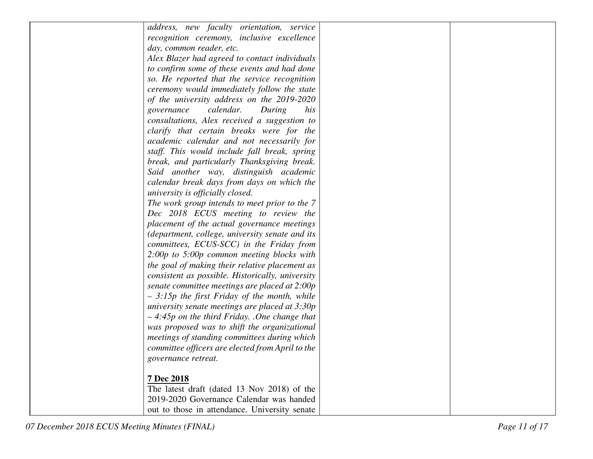| address, new faculty orientation, service        |  |
|--------------------------------------------------|--|
| recognition ceremony, inclusive excellence       |  |
| day, common reader, etc.                         |  |
| Alex Blazer had agreed to contact individuals    |  |
| to confirm some of these events and had done     |  |
| so. He reported that the service recognition     |  |
| ceremony would immediately follow the state      |  |
| of the university address on the 2019-2020       |  |
| calendar.<br>governance<br>During<br>his         |  |
| consultations, Alex received a suggestion to     |  |
| clarify that certain breaks were for the         |  |
| academic calendar and not necessarily for        |  |
| staff. This would include fall break, spring     |  |
| break, and particularly Thanksgiving break.      |  |
| Said another way, distinguish academic           |  |
| calendar break days from days on which the       |  |
| university is officially closed.                 |  |
| The work group intends to meet prior to the 7    |  |
| Dec 2018 ECUS meeting to review the              |  |
| placement of the actual governance meetings      |  |
| (department, college, university senate and its  |  |
| committees, ECUS-SCC) in the Friday from         |  |
| $2:00p$ to 5:00p common meeting blocks with      |  |
| the goal of making their relative placement as   |  |
| consistent as possible. Historically, university |  |
| senate committee meetings are placed at 2:00p    |  |
| $-3:15p$ the first Friday of the month, while    |  |
| university senate meetings are placed at $3:30p$ |  |
| $-4:45p$ on the third Friday. .One change that   |  |
| was proposed was to shift the organizational     |  |
| meetings of standing committees during which     |  |
| committee officers are elected from April to the |  |
| governance retreat.                              |  |
|                                                  |  |
| 7 Dec 2018                                       |  |
| The latest draft (dated 13 Nov 2018) of the      |  |
| 2019-2020 Governance Calendar was handed         |  |
| out to those in attendance. University senate    |  |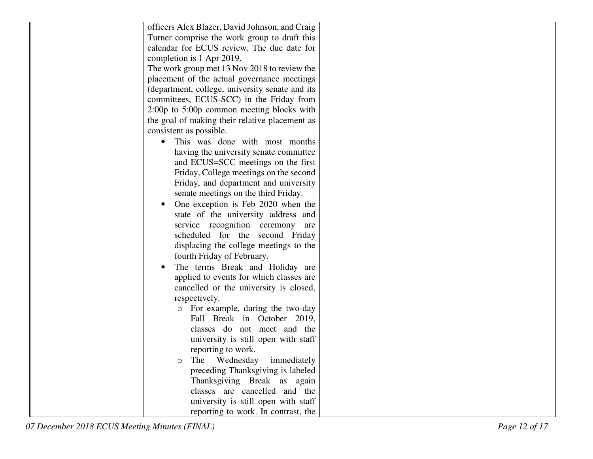| officers Alex Blazer, David Johnson, and Craig  |
|-------------------------------------------------|
| Turner comprise the work group to draft this    |
| calendar for ECUS review. The due date for      |
| completion is 1 Apr 2019.                       |
| The work group met 13 Nov 2018 to review the    |
| placement of the actual governance meetings     |
| (department, college, university senate and its |
| committees, ECUS-SCC) in the Friday from        |
| $2:00p$ to $5:00p$ common meeting blocks with   |
| the goal of making their relative placement as  |
| consistent as possible.                         |
| This was done with most months<br>$\bullet$     |
| having the university senate committee          |
| and ECUS=SCC meetings on the first              |
| Friday, College meetings on the second          |
| Friday, and department and university           |
| senate meetings on the third Friday.            |
| One exception is Feb 2020 when the              |
| state of the university address and             |
| service recognition ceremony<br>are             |
| scheduled for the second Friday                 |
| displacing the college meetings to the          |
| fourth Friday of February.                      |
| The terms Break and Holiday are                 |
| applied to events for which classes are         |
| cancelled or the university is closed,          |
| respectively.                                   |
| o For example, during the two-day               |
| Fall Break in October 2019,                     |
| classes do not meet and the                     |
| university is still open with staff             |
| reporting to work.                              |
| immediately<br>The<br>Wednesday<br>O            |
| preceding Thanksgiving is labeled               |
| Thanksgiving Break as again                     |
| classes are cancelled and the                   |
| university is still open with staff             |
| reporting to work. In contrast, the             |

07 December 2018 ECUS Meeting Minutes (FINAL)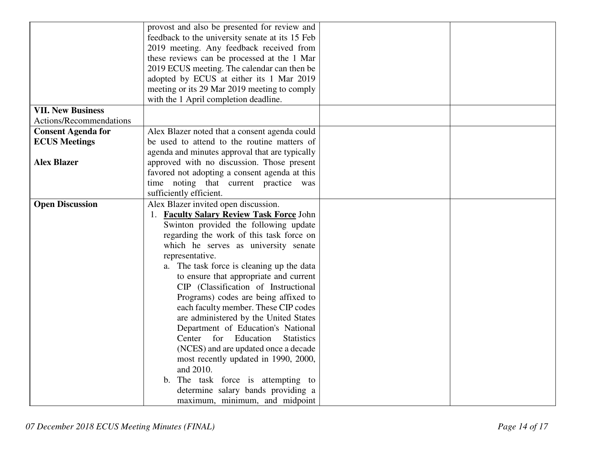|                           | provost and also be presented for review and    |  |
|---------------------------|-------------------------------------------------|--|
|                           | feedback to the university senate at its 15 Feb |  |
|                           | 2019 meeting. Any feedback received from        |  |
|                           | these reviews can be processed at the 1 Mar     |  |
|                           | 2019 ECUS meeting. The calendar can then be     |  |
|                           | adopted by ECUS at either its 1 Mar 2019        |  |
|                           | meeting or its 29 Mar 2019 meeting to comply    |  |
|                           | with the 1 April completion deadline.           |  |
| <b>VII. New Business</b>  |                                                 |  |
| Actions/Recommendations   |                                                 |  |
| <b>Consent Agenda for</b> | Alex Blazer noted that a consent agenda could   |  |
| <b>ECUS Meetings</b>      | be used to attend to the routine matters of     |  |
|                           | agenda and minutes approval that are typically  |  |
| <b>Alex Blazer</b>        | approved with no discussion. Those present      |  |
|                           | favored not adopting a consent agenda at this   |  |
|                           | time noting that current practice was           |  |
|                           | sufficiently efficient.                         |  |
| <b>Open Discussion</b>    | Alex Blazer invited open discussion.            |  |
|                           | 1. Faculty Salary Review Task Force John        |  |
|                           | Swinton provided the following update           |  |
|                           | regarding the work of this task force on        |  |
|                           | which he serves as university senate            |  |
|                           | representative.                                 |  |
|                           | a. The task force is cleaning up the data       |  |
|                           | to ensure that appropriate and current          |  |
|                           | CIP (Classification of Instructional            |  |
|                           | Programs) codes are being affixed to            |  |
|                           | each faculty member. These CIP codes            |  |
|                           | are administered by the United States           |  |
|                           | Department of Education's National              |  |
|                           | Center for<br>Education<br><b>Statistics</b>    |  |
|                           | (NCES) and are updated once a decade            |  |
|                           | most recently updated in 1990, 2000,            |  |
|                           | and 2010.                                       |  |
|                           | b. The task force is attempting to              |  |
|                           | determine salary bands providing a              |  |
|                           | maximum, minimum, and midpoint                  |  |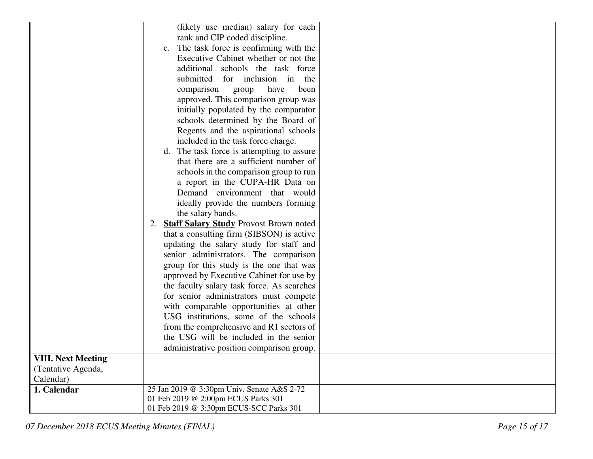|                           | (likely use median) salary for each                 |
|---------------------------|-----------------------------------------------------|
|                           |                                                     |
|                           | rank and CIP coded discipline.                      |
|                           | c. The task force is confirming with the            |
|                           | Executive Cabinet whether or not the                |
|                           | additional schools the task force                   |
|                           | submitted for inclusion in the                      |
|                           | comparison<br>group<br>have<br>been                 |
|                           | approved. This comparison group was                 |
|                           | initially populated by the comparator               |
|                           | schools determined by the Board of                  |
|                           | Regents and the aspirational schools                |
|                           | included in the task force charge.                  |
|                           | d. The task force is attempting to assure           |
|                           | that there are a sufficient number of               |
|                           | schools in the comparison group to run              |
|                           | a report in the CUPA-HR Data on                     |
|                           | Demand environment that would                       |
|                           | ideally provide the numbers forming                 |
|                           | the salary bands.                                   |
|                           | <b>Staff Salary Study Provost Brown noted</b><br>2. |
|                           | that a consulting firm (SIBSON) is active           |
|                           | updating the salary study for staff and             |
|                           | senior administrators. The comparison               |
|                           | group for this study is the one that was            |
|                           | approved by Executive Cabinet for use by            |
|                           | the faculty salary task force. As searches          |
|                           | for senior administrators must compete              |
|                           | with comparable opportunities at other              |
|                           | USG institutions, some of the schools               |
|                           | from the comprehensive and R1 sectors of            |
|                           | the USG will be included in the senior              |
|                           | administrative position comparison group.           |
| <b>VIII. Next Meeting</b> |                                                     |
| (Tentative Agenda,        |                                                     |
| Calendar)                 |                                                     |
| 1. Calendar               | 25 Jan 2019 @ 3:30pm Univ. Senate A&S 2-72          |
|                           | 01 Feb 2019 @ 2:00pm ECUS Parks 301                 |
|                           | 01 Feb 2019 @ 3:30pm ECUS-SCC Parks 301             |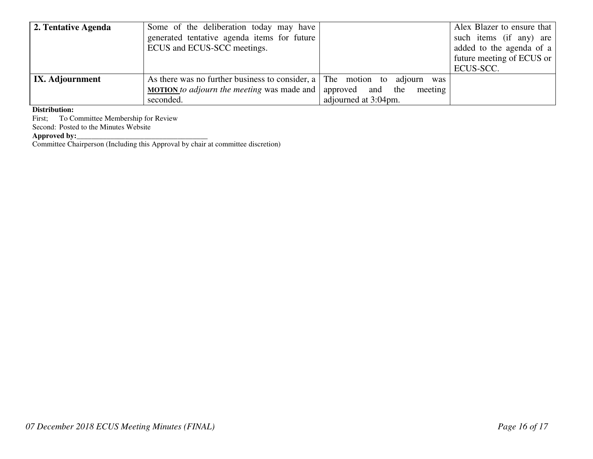| 2. Tentative Agenda | Some of the deliberation today may have<br>generated tentative agenda items for future<br>ECUS and ECUS-SCC meetings. |                      | Alex Blazer to ensure that<br>such items (if any) are<br>added to the agenda of a<br>future meeting of ECUS or |
|---------------------|-----------------------------------------------------------------------------------------------------------------------|----------------------|----------------------------------------------------------------------------------------------------------------|
|                     |                                                                                                                       |                      | ECUS-SCC.                                                                                                      |
| IX. Adjournment     | As there was no further business to consider, a The motion to adjourn was                                             |                      |                                                                                                                |
|                     | <b>MOTION</b> to adjourn the meeting was made and approved and the meeting                                            |                      |                                                                                                                |
|                     | seconded.                                                                                                             | adjourned at 3:04pm. |                                                                                                                |

### **Distribution:**

First; To Committee Membership for Review Second: Posted to the Minutes Website

**Approved by:**<br>Committee Chairperson (Including this Approval by chair at committee discretion)